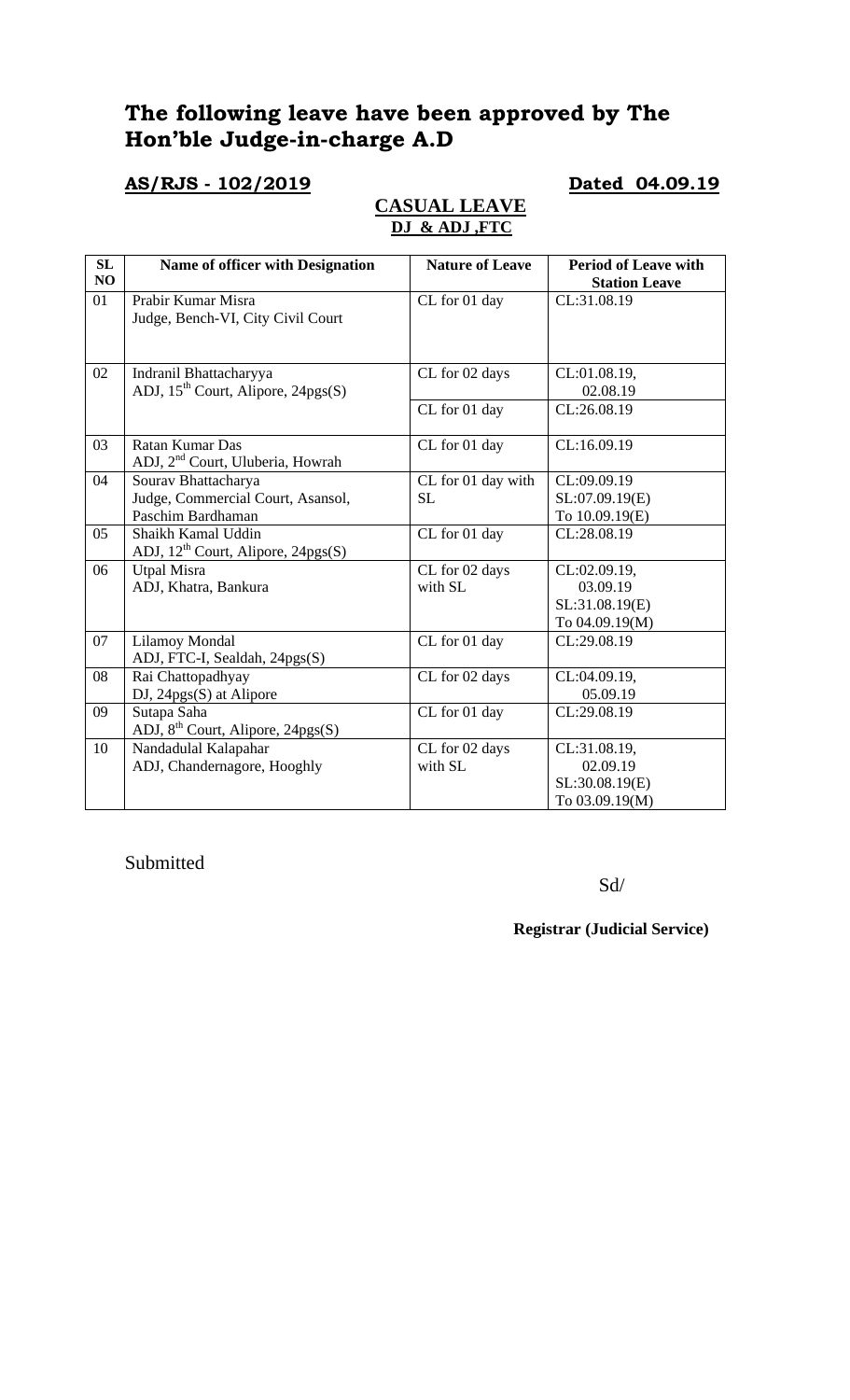# **The following leave have been approved by The Hon'ble Judge-in-charge A.D**

## **AS/RJS - 102/2019 Dated 04.09.19**

## **CASUAL LEAVE DJ & ADJ ,FTC**

| SL<br>NO | <b>Name of officer with Designation</b>      | <b>Nature of Leave</b> | <b>Period of Leave with</b><br><b>Station Leave</b> |
|----------|----------------------------------------------|------------------------|-----------------------------------------------------|
| 01       | Prabir Kumar Misra                           | CL for 01 day          | CL:31.08.19                                         |
|          | Judge, Bench-VI, City Civil Court            |                        |                                                     |
|          |                                              |                        |                                                     |
|          |                                              |                        |                                                     |
| 02       | Indranil Bhattacharyya                       | CL for 02 days         | CL:01.08.19,                                        |
|          | ADJ, $15^{th}$ Court, Alipore, $24pgs(S)$    |                        | 02.08.19                                            |
|          |                                              | CL for 01 day          | CL:26.08.19                                         |
|          |                                              |                        |                                                     |
| 03       | Ratan Kumar Das                              | CL for 01 day          | CL:16.09.19                                         |
|          | ADJ, 2 <sup>nd</sup> Court, Uluberia, Howrah |                        |                                                     |
| 04       | Sourav Bhattacharya                          | CL for 01 day with     | CL:09.09.19                                         |
|          | Judge, Commercial Court, Asansol,            | <b>SL</b>              | SL:07.09.19(E)                                      |
|          | Paschim Bardhaman                            |                        | To 10.09.19(E)                                      |
| 05       | Shaikh Kamal Uddin                           | CL for 01 day          | CL:28.08.19                                         |
|          | ADJ, $12^{th}$ Court, Alipore, $24pgs(S)$    |                        |                                                     |
| 06       | <b>Utpal Misra</b>                           | CL for 02 days         | CL:02.09.19,                                        |
|          | ADJ, Khatra, Bankura                         | with SL                | 03.09.19                                            |
|          |                                              |                        | SL:31.08.19(E)                                      |
|          |                                              |                        | To 04.09.19(M)                                      |
| 07       | Lilamoy Mondal                               | CL for 01 day          | CL:29.08.19                                         |
|          | ADJ, FTC-I, Sealdah, 24pgs(S)                |                        |                                                     |
| 08       | Rai Chattopadhyay                            | CL for 02 days         | CL:04.09.19,                                        |
|          | DJ, 24pgs(S) at Alipore                      |                        | 05.09.19                                            |
| 09       | Sutapa Saha                                  | CL for 01 day          | CL:29.08.19                                         |
|          | ADJ, $8^{th}$ Court, Alipore, 24pgs(S)       |                        |                                                     |
| 10       | Nandadulal Kalapahar                         | CL for 02 days         | CL:31.08.19,                                        |
|          | ADJ, Chandernagore, Hooghly                  | with SL                | 02.09.19                                            |
|          |                                              |                        | SL:30.08.19(E)                                      |
|          |                                              |                        | To 03.09.19(M)                                      |

Submitted

Sd/

**Registrar (Judicial Service)**